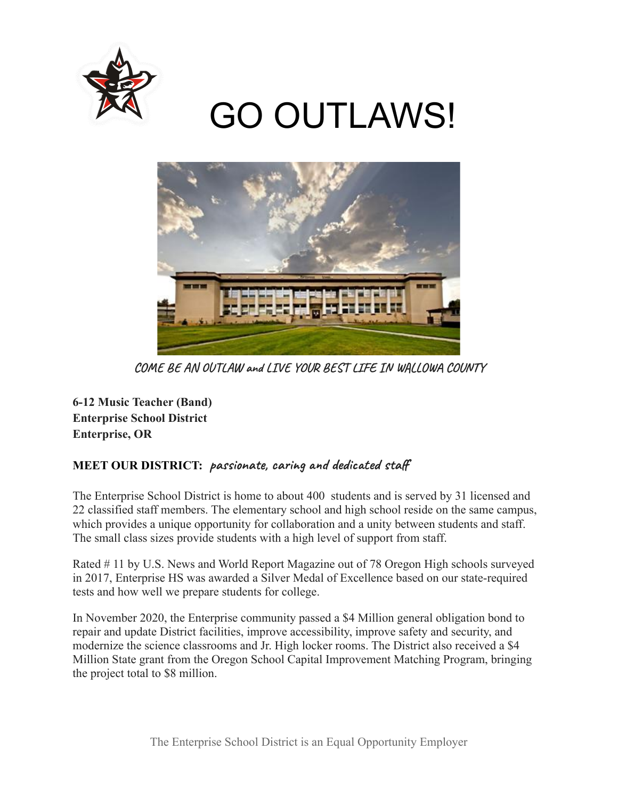

# GO OUTLAWS!



**COME BE AN OUTLAW and LIVE YOUR BEST LIFE IN WALLOWA COUNTY**

**6-12 Music Teacher (Band) Enterprise School District Enterprise, OR**

# **MEET OUR DISTRICT: passionate, caring and dedicated staff**

The Enterprise School District is home to about 400 students and is served by 31 licensed and 22 classified staff members. The elementary school and high school reside on the same campus, which provides a unique opportunity for collaboration and a unity between students and staff. The small class sizes provide students with a high level of support from staff.

Rated # 11 by U.S. News and World Report Magazine out of 78 Oregon High schools surveyed in 2017, Enterprise HS was awarded a Silver Medal of Excellence based on our state-required tests and how well we prepare students for college.

In November 2020, the Enterprise community passed a \$4 Million general obligation bond to repair and update District facilities, improve accessibility, improve safety and security, and modernize the science classrooms and Jr. High locker rooms. The District also received a \$4 Million State grant from the Oregon School Capital Improvement Matching Program, bringing the project total to \$8 million.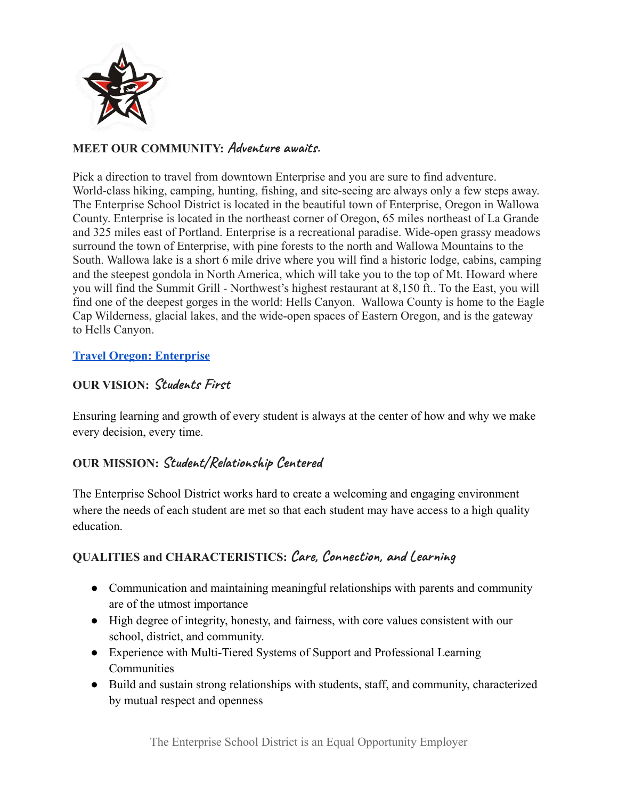

## **MEET OUR COMMUNITY: Adventure awaits.**

Pick a direction to travel from downtown Enterprise and you are sure to find adventure. World-class hiking, camping, hunting, fishing, and site-seeing are always only a few steps away. The Enterprise School District is located in the beautiful town of Enterprise, Oregon in Wallowa County. Enterprise is located in the northeast corner of Oregon, 65 miles northeast of La Grande and 325 miles east of Portland. Enterprise is a recreational paradise. Wide-open grassy meadows surround the town of Enterprise, with pine forests to the north and Wallowa Mountains to the South. Wallowa lake is a short 6 mile drive where you will find a historic lodge, cabins, camping and the steepest gondola in North America, which will take you to the top of Mt. Howard where you will find the Summit Grill - Northwest's highest restaurant at 8,150 ft.. To the East, you will find one of the deepest gorges in the world: Hells Canyon. Wallowa County is home to the Eagle Cap Wilderness, glacial lakes, and the wide-open spaces of Eastern Oregon, and is the gateway to Hells Canyon.

#### **[Travel Oregon: Enterprise](https://traveloregon.com/places-to-go/cities/enterprise/)**

## **OUR VISION: Students First**

Ensuring learning and growth of every student is always at the center of how and why we make every decision, every time.

# **OUR MISSION: Student/Relationship Centered**

The Enterprise School District works hard to create a welcoming and engaging environment where the needs of each student are met so that each student may have access to a high quality education.

# **QUALITIES and CHARACTERISTICS: Care, Connection, and Learning**

- Communication and maintaining meaningful relationships with parents and community are of the utmost importance
- High degree of integrity, honesty, and fairness, with core values consistent with our school, district, and community.
- Experience with Multi-Tiered Systems of Support and Professional Learning **Communities**
- Build and sustain strong relationships with students, staff, and community, characterized by mutual respect and openness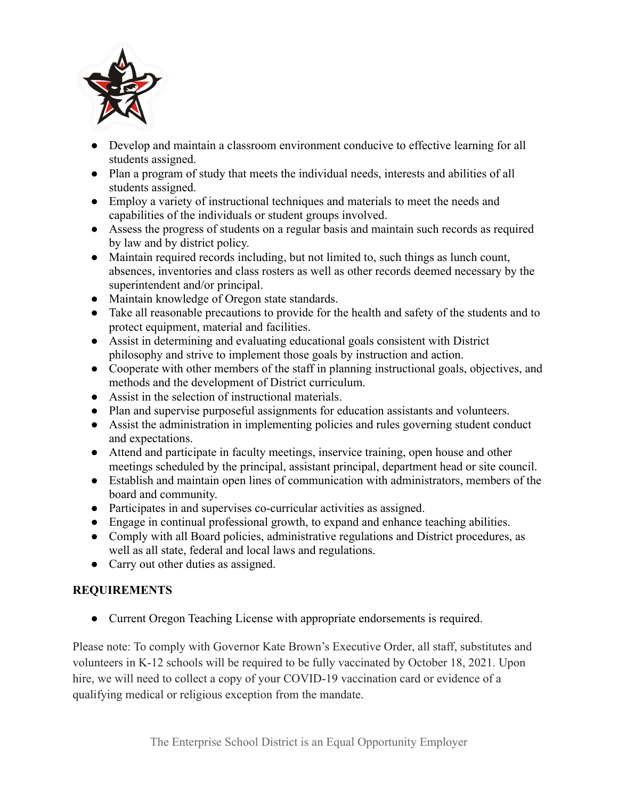

- Develop and maintain a classroom environment conducive to effective learning for all students assigned.
- Plan a program of study that meets the individual needs, interests and abilities of all students assigned.
- Employ a variety of instructional techniques and materials to meet the needs and capabilities of the individuals or student groups involved.
- Assess the progress of students on a regular basis and maintain such records as required by law and by district policy.
- Maintain required records including, but not limited to, such things as lunch count, absences, inventories and class rosters as well as other records deemed necessary by the superintendent and/or principal.
- Maintain knowledge of Oregon state standards.
- Take all reasonable precautions to provide for the health and safety of the students and to protect equipment, material and facilities.
- Assist in determining and evaluating educational goals consistent with District philosophy and strive to implement those goals by instruction and action.
- Cooperate with other members of the staff in planning instructional goals, objectives, and methods and the development of District curriculum.
- Assist in the selection of instructional materials.
- Plan and supervise purposeful assignments for education assistants and volunteers.
- Assist the administration in implementing policies and rules governing student conduct and expectations.
- Attend and participate in faculty meetings, inservice training, open house and other meetings scheduled by the principal, assistant principal, department head or site council.
- Establish and maintain open lines of communication with administrators, members of the board and community.
- Participates in and supervises co-curricular activities as assigned.
- Engage in continual professional growth, to expand and enhance teaching abilities.
- Comply with all Board policies, administrative regulations and District procedures, as well as all state, federal and local laws and regulations.
- Carry out other duties as assigned.

# **REQUIREMENTS**

● Current Oregon Teaching License with appropriate endorsements is required.

Please note: To comply with Governor Kate Brown's Executive Order, all staff, substitutes and volunteers in K-12 schools will be required to be fully vaccinated by October 18, 2021. Upon hire, we will need to collect a copy of your COVID-19 vaccination card or evidence of a qualifying medical or religious exception from the mandate.